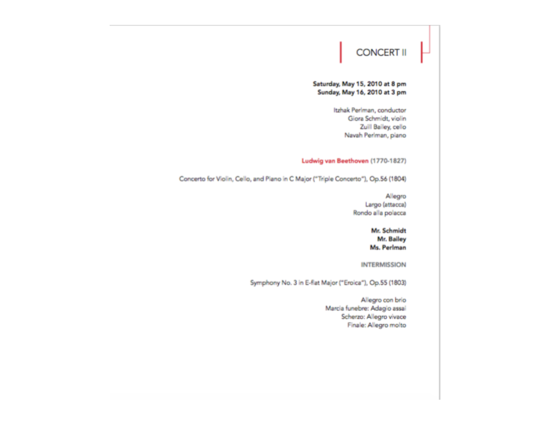# **CONCERT II**

 $\vdash$ 

## Saturday, May 15, 2010 at 8 pm Sunday, May 16, 2010 at 3 pm

Itzhak Perlman, conductor Giora Schmidt, violin Zuill Bailey, cello Navah Perlman, piano

# Ludwig van Beethoven (1770-1827)

Concerto for Violin, Cello, and Piano in C Major ("Triple Concerto"), Op.56 (1804)

Allegro Largo (attacca) Rondo alla polacca

## Mr. Schmidt Mr. Bailey Ms. Perlman

**INTERMISSION** 

Symphony No. 3 in E-flat Major ("Eroica"), Op.55 (1803)

Allegro con brio Marcia funebre: Adagio assai Scherzo: Allegro vivace Finale: Allegro molto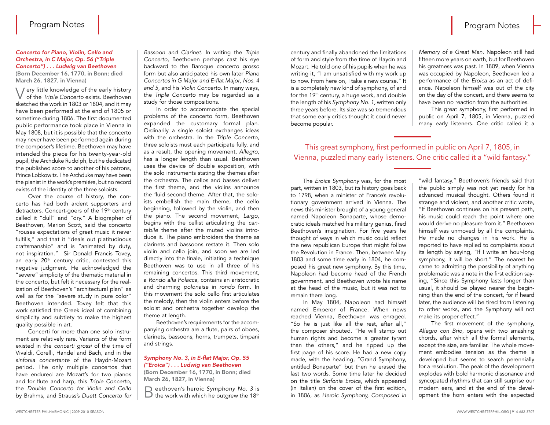# Program Notes

### *Concerto for Piano, Violin, Cello and Orchestra, in C Major, Op. 56 ("Triple Concerto") . . . Ludwig van Beethoven*

(Born December 16, 1770, in Bonn; died March 26, 1827, in Vienna)

Very little knowledge of the early history of the *Triple Concerto* exists. Beethoven sketched the work in 1803 or 1804, and it may have been performed at the end of 1805 or sometime during 1806. The first documented public performance took place in Vienna in May 1808, but it is possible that the concerto may never have been performed again during the composer's lifetime. Beethoven may have intended the piece for his twenty-year-old pupil, the Archduke Rudolph, but he dedicated the published score to another of his patrons, Prince Lobkowitz. The Archduke may have been the pianist in the work's première, but no record exists of the identity of the three soloists.

Over the course of history, the concerto has had both ardent supporters and detractors. Concert-goers of the 19th century called it "dull" and "dry." A biographer of Beethoven, Marion Scott, said the concerto "rouses expectations of great music it never fulfills," and that it "deals out platitudinous craftsmanship" and is "animated by duty, not inspiration." Sir Donald Francis Tovey, an early 20<sup>th</sup> century critic, contested this negative judgment. He acknowledged the "severe" simplicity of the thematic material in the concerto, but felt it necessary for the realization of Beethoven's "architectural plan" as well as for the "severe study in pure color" Beethoven intended. Tovey felt that this work satisfied the Greek ideal of combining simplicity and subtlety to make the highest quality possible in art.

Concerti for more than one solo instrument are relatively rare. Variants of the form existed in the *concerti grossi* of the time of Vivaldi, Corelli, Handel and Bach, and in the *sinfonia concertante* of the Haydn-Mozart period. The only multiple concertos that have endured are Mozart's for two pianos and for flute and harp, this *Triple Concerto*, the *Double Concerto for Violin and Cello* by Brahms, and Strauss's *Duett Concerto for* 

*Bassoon and Clarinet*. In writing the *Triple Concerto*, Beethoven perhaps cast his eye backward to the Baroque *concerto grosso* form but also anticipated his own later *Piano Concertos in G Major and E-flat Major*, *Nos. 4 and 5,* and his *Violin Concerto*. In many ways, the *Triple Concerto* may be regarded as a study for those compositions.

In order to accommodate the special problems of the concerto form, Beethoven expanded the customary formal plan. Ordinarily a single soloist exchanges ideas with the orchestra. In the *Triple Concerto*, three soloists must each participate fully, and as a result, the opening movement, *Allegro*, has a longer length than usual. Beethoven uses the device of double exposition, with the solo instruments stating the themes after the orchestra. The cellos and basses deliver the first theme, and the violins announce the fluid second theme. After that, the soloists embellish the main theme, the cello beginning, followed by the violin, and then the piano. The second movement, *Largo*, begins with the cellist articulating the *cantabile* theme after the muted violins introduce it. The piano embroiders the theme as clarinets and bassoons restate it. Then solo violin and cello join, and soon we are led directly into the finale, initiating a technique Beethoven was to use in all three of his remaining concertos. This third movement, a *Rondo alla Polacca*, contains an aristocratic and charming *polonaise* in *rondo* form. In this movement the solo cello first articulates the melody, then the violin enters before the soloist and orchestra together develop the theme at length.

Beethoven's requirements for the accompanying orchestra are a flute, pairs of oboes, clarinets, bassoons, horns, trumpets, timpani and strings.

### *Symphony No. 3, in E-flat Major, Op. 55 ("Eroica") . . . Ludwig van Beethoven*

(Born December 16, 1770, in Bonn; died March 26, 1827, in Vienna)

Beethoven's heroic *Symphony* No. 3 is<br> **B** the work with which he outgrew the 18<sup>th</sup>

century and finally abandoned the limitations of form and style from the time of Haydn and Mozart. He told one of his pupils when he was writing it, "I am unsatisfied with my work up to now. From here on, I take a new course." It is a completely new kind of symphony, of and for the 19th century, a huge work, and double the length of his *Symphony No. 1,* written only three years before. Its size was so tremendous that some early critics thought it could never become popular.

*Memory of a Great Man.* Napoleon still had fifteen more years on earth, but for Beethoven his greatness was past. In 1809, when Vienna was occupied by Napoleon, Beethoven led a performance of the *Eroica* as an act of defiance. Napoleon himself was out of the city on the day of the concert, and there seems to have been no reaction from the authorities.

This great symphony, first performed in public on April 7, 1805, in Vienna, puzzled many early listeners. One critic called it a

This great symphony, first performed in public on April 7, 1805, in Vienna, puzzled many early listeners. One critic called it a "wild fantasy."

The *Eroica Symphony* was, for the most part, written in 1803, but its history goes back to 1798, when a minister of France's revolutionary government arrived in Vienna. The news this minister brought of a young general named Napoleon Bonaparte, whose democratic ideals matched his military genius, fired Beethoven's imagination. For five years he thought of ways in which music could reflect the new republican Europe that might follow the Revolution in France. Then, between May 1803 and some time early in 1804, he composed his great new symphony. By this time, Napoleon had become head of the French government, and Beethoven wrote his name at the head of the music, but it was not to remain there long.

In May 1804, Napoleon had himself named Emperor of France. When news reached Vienna, Beethoven was enraged. "So he is just like all the rest, after all," the composer shouted. "He will stamp out human rights and become a greater tyrant than the others," and he ripped up the first page of his score. He had a new copy made, with the heading, "Grand Symphony, entitled Bonaparte" but then he erased the last two words. Some time later he decided on the title *Sinfonia Eroica*, which appeared (in Italian) on the cover of the first edition, in 1806, as *Heroic Symphony, Composed in* 

"wild fantasy." Beethoven's friends said that the public simply was not yet ready for his advanced musical thought. Others found it strange and violent, and another critic wrote, "If Beethoven continues on his present path, his music could reach the point where one would derive no pleasure from it." Beethoven himself was unmoved by all the complaints. He made no changes in his work. He is reported to have replied to complaints about its length by saying, "If I write an hour-long symphony, it will be short." The nearest he came to admitting the possibility of anything problematic was a note in the first edition saying, "Since this Symphony lasts longer than usual, it should be played nearer the beginning than the end of the concert, for if heard later, the audience will be tired from listening to other works, and the Symphony will not make its proper effect."

The first movement of the symphony, *Allegro con Brio*, opens with two smashing chords, after which all the formal elements, except the size, are familiar. The whole movement embodies tension as the theme is developed but seems to search perennially for a resolution. The peak of the development explodes with bold harmonic dissonance and syncopated rhythms that can still surprise our modern ears, and at the end of the development the horn enters with the expected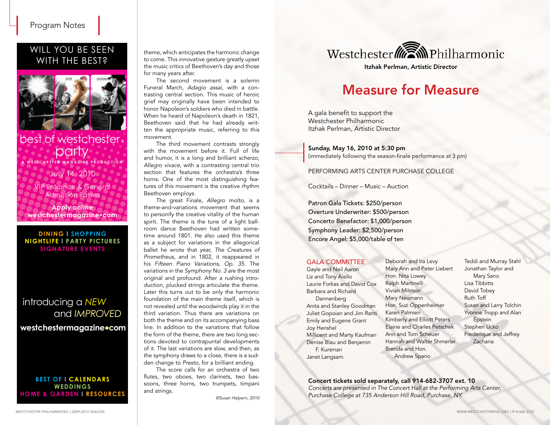# WILL YOU BE SEEN WITH THE BEST?



# July 14, 2010 best of westchester. **party A WESTCHESTER M A G A ZINE P R ODU CTI O N**

VIP Entrance & General Admission Passes

**Apply online westchestermagazine•com**

#### **DINING l SHOPPING NIGHTLIFE l PARTY PICTURES SIGNATURE EVENTS**

# introducing a *NEW* and *IMPROVED*

**westchestermagazine•com**

### **BEST OF l CALENDARS WEDDINGS HOME & GARDEN l RESOURCES**

theme, which anticipates the harmonic change to come. This innovative gesture greatly upset the music critics of Beethoven's day and those for many years after.

The second movement is a solemn Funeral March, *Adagio assai*, with a contrasting central section. This music of heroic grief may originally have been intended to honor Napoleon's soldiers who died in battle. When he heard of Napoleon's death in 1821, Beethoven said that he had already written the appropriate music, referring to this movement.

The third movement contrasts strongly with the movement before it. Full of life and humor, it is a long and brilliant *scherzo*, *Allegro vivace*, with a contrasting central trio section that features the orchestra's three horns. One of the most distinguishing features of this movement is the creative rhythm Beethoven employs.

The great Finale, *Allegro molto*, is a theme-and-variations movement that seems to personify the creative vitality of the human spirit. The theme is the tune of a light ballroom dance Beethoven had written sometime around 1801. He also used this theme as a subject for variations in the allegorical ballet he wrote that year, *The Creatures of Prometheus*, and in 1802, it reappeared in his *Fifteen Piano Variations, Op. 35*. The variations in the *Symphony No. 3* are the most original and profound. After a rushing introduction, plucked strings articulate the theme. Later this turns out to be only the harmonic foundation of the main theme itself, which is not revealed until the woodwinds play it in the third variation. Thus there are variations on both the theme and on its accompanying bass line. In addition to the variations that follow the form of the theme, there are two long sections devoted to contrapuntal developments of it. The last variations are slow, and then, as the symphony draws to a close, there is a sudden change to *Presto*, for a brilliant ending.

The score calls for an orchestra of two flutes, two oboes, two clarinets, two bassoons, three horns, two trumpets, timpani and strings.

*©Susan Halpern, 2010* 



Itzhak Perlman, Artistic Director

# Measure for Measure

A gala benefit to support the Westchester Philharmonic Itzhak Perlman, Artistic Director

## Sunday, May 16, 2010 at 5:30 pm

(immediately following the season-finale performance at 3 pm)

## PERFORMING ARTS CENTER PURCHASE COLLEGE

Cocktails – Dinner – Music – Auction

Patron Gala Tickets: \$250/person Overture Underwriter: \$500/person Concerto Benefactor: \$1,000/person Symphony Leader: \$2,500/person Encore Angel: \$5,000/table of ten

### GALA COMMITTEE

Gayle and Neil Aaron Liz and Tony Aiello Laurie Forkas and David Cox Barbara and Richard Dannenberg Anita and Stanley Goodman Juliet Gopoian and Jim Ranti Emily and Eugene Grant Joy Henshel Millicent and Marty Kaufman Denise Blau and Benjamin F. Kursman Janet Langsam

Deborah and Ira Levy Mary Ann and Peter Liebert Hon. Nita Lowey Ralph Martinelli Vivian Milstein Mary Neumann Hon. Suzi Oppenheimer Karen Palmieri Kimberly and Elliott Peters Elaine and Charles Petschek Ann and Tom Scheuer Hannah and Walter Shmerler Brenda and Hon. Andrew Spano

Teddi and Murray Stahl Jonathan Taylor and Mary Sano Lisa Tibbitts David Tobey Ruth Toff Susan and Larry Tolchin Yvonne Tropp and Alan **Epstein** Stephen Ucko Frederique and Jeffrey Zacharia

Concert tickets sold separately, call 914-682-3707 ext. 10 *Concerts are presented in The Concert Hall at the Performing Arts Center, Purchase College at 735 Anderson Hill Road, Purchase, NY.*